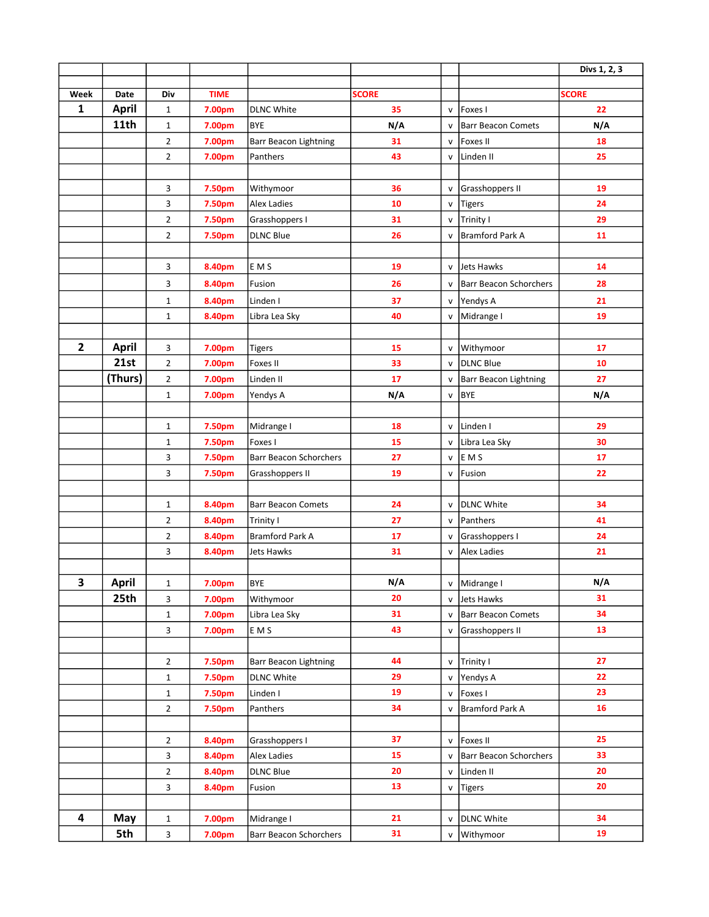|                |                      |                              |                  |                                 |                    |                              |                                         | Divs 1, 2, 3       |
|----------------|----------------------|------------------------------|------------------|---------------------------------|--------------------|------------------------------|-----------------------------------------|--------------------|
|                |                      |                              |                  |                                 |                    |                              |                                         |                    |
| Week<br>1      | Date<br><b>April</b> | Div                          | <b>TIME</b>      |                                 | <b>SCORE</b><br>35 |                              | Foxes I                                 | <b>SCORE</b><br>22 |
|                | 11th                 | $\mathbf{1}$<br>$\mathbf{1}$ | 7.00pm<br>7.00pm | <b>DLNC White</b><br><b>BYE</b> | N/A                | ${\sf v}$<br>$\mathsf{v}$    | <b>Barr Beacon Comets</b>               | N/A                |
|                |                      | $\overline{2}$               | 7.00pm           | <b>Barr Beacon Lightning</b>    | 31                 | $\mathsf{v}$                 | <b>Foxes II</b>                         | 18                 |
|                |                      | $\overline{2}$               | 7.00pm           | Panthers                        | 43                 | v                            | Linden <sub>II</sub>                    | 25                 |
|                |                      |                              |                  |                                 |                    |                              |                                         |                    |
|                |                      | 3                            | 7.50pm           | Withymoor                       | 36                 | V                            | Grasshoppers II                         | 19                 |
|                |                      | 3                            | 7.50pm           | <b>Alex Ladies</b>              | 10                 | $\mathsf{v}$                 | <b>Tigers</b>                           | 24                 |
|                |                      | $\overline{2}$               | 7.50pm           | Grasshoppers I                  | 31                 |                              | v Trinity I                             | 29                 |
|                |                      | $\overline{2}$               | 7.50pm           | <b>DLNC Blue</b>                | 26                 | v                            | <b>Bramford Park A</b>                  | 11                 |
|                |                      |                              |                  |                                 |                    |                              |                                         |                    |
|                |                      | 3                            | 8.40pm           | E M S                           | 19                 | v                            | <b>Jets Hawks</b>                       | 14                 |
|                |                      | 3                            | 8.40pm           | Fusion                          | 26                 | v                            | <b>Barr Beacon Schorchers</b>           | 28                 |
|                |                      | $\mathbf{1}$                 | 8.40pm           | Linden I                        | 37                 | $\mathsf{v}$                 | Yendys A                                | 21                 |
|                |                      | $\mathbf{1}$                 | 8.40pm           | Libra Lea Sky                   | 40                 | V                            | Midrange I                              | 19                 |
|                |                      |                              |                  |                                 |                    |                              |                                         |                    |
| $\overline{2}$ | <b>April</b>         | 3                            | 7.00pm           | <b>Tigers</b>                   | 15                 | v                            | Withymoor                               | 17                 |
|                | 21st                 | $\overline{2}$               | 7.00pm           | Foxes II                        | 33                 | $\mathsf{v}$                 | <b>DLNC Blue</b>                        | 10                 |
|                | (Thurs)              | $\overline{2}$               | 7.00pm           | Linden <sub>II</sub>            | 17                 | V                            | Barr Beacon Lightning                   | 27                 |
|                |                      | $\mathbf{1}$                 | 7.00pm           | Yendys A                        | N/A                | $\mathsf{v}$                 | <b>BYE</b>                              | N/A                |
|                |                      |                              |                  |                                 |                    |                              |                                         |                    |
|                |                      | $\mathbf{1}$                 | 7.50pm           | Midrange I                      | 18                 | $\mathsf{v}$                 | Linden <sub>I</sub>                     | 29                 |
|                |                      | $\mathbf 1$                  | 7.50pm           | Foxes I                         | 15                 |                              | v Libra Lea Sky                         | 30                 |
|                |                      | 3                            | 7.50pm           | <b>Barr Beacon Schorchers</b>   | 27                 | v                            | E M S                                   | 17                 |
|                |                      | 3                            | 7.50pm           | Grasshoppers II                 | 19                 | v                            | Fusion                                  | 22                 |
|                |                      |                              |                  |                                 |                    |                              |                                         |                    |
|                |                      | $\mathbf{1}$                 | 8.40pm           | <b>Barr Beacon Comets</b>       | 24                 | ${\sf v}$                    | DLNC White                              | 34                 |
|                |                      | $\overline{2}$               | 8.40pm           | Trinity I                       | 27                 | v                            | Panthers                                | 41                 |
|                |                      | $\overline{2}$               | 8.40pm           | Bramford Park A                 | 17                 | v                            | Grasshoppers I                          | 24                 |
|                |                      | 3                            | 8.40pm           | Jets Hawks                      | 31                 | v                            | Alex Ladies                             | 21                 |
|                |                      |                              |                  |                                 |                    |                              |                                         |                    |
| 3              | <b>April</b><br>25th | 1                            | 7.00pm           | BYE                             | N/A<br>20          | v                            | Midrange I                              | N/A<br>31          |
|                |                      | 3<br>1                       | 7.00pm<br>7.00pm | Withymoor<br>Libra Lea Sky      | 31                 | $\mathsf{v}$<br>$\mathsf{v}$ | Jets Hawks<br><b>Barr Beacon Comets</b> | 34                 |
|                |                      | 3                            | 7.00pm           | E M S                           | 43                 | V                            | Grasshoppers II                         | 13                 |
|                |                      |                              |                  |                                 |                    |                              |                                         |                    |
|                |                      | $\mathbf{2}$                 | 7.50pm           | <b>Barr Beacon Lightning</b>    | 44                 | V                            | Trinity I                               | 27                 |
|                |                      | $\mathbf{1}$                 | 7.50pm           | <b>DLNC White</b>               | 29                 | ${\sf v}$                    | Yendys A                                | 22                 |
|                |                      | $\mathbf{1}$                 | 7.50pm           | Linden I                        | 19                 | v                            | Foxes I                                 | 23                 |
|                |                      | $\overline{2}$               | 7.50pm           | Panthers                        | 34                 | v                            | <b>Bramford Park A</b>                  | 16                 |
|                |                      |                              |                  |                                 |                    |                              |                                         |                    |
|                |                      | $\overline{2}$               | 8.40pm           | Grasshoppers I                  | 37                 | v                            | <b>Foxes II</b>                         | 25                 |
|                |                      | 3                            | 8.40pm           | <b>Alex Ladies</b>              | 15                 | v                            | <b>Barr Beacon Schorchers</b>           | 33                 |
|                |                      | $\overline{2}$               | 8.40pm           | <b>DLNC Blue</b>                | 20                 | v                            | Linden II                               | 20                 |
|                |                      | 3                            | 8.40pm           | Fusion                          | 13                 | v                            | <b>Tigers</b>                           | 20                 |
|                |                      |                              |                  |                                 |                    |                              |                                         |                    |
| 4              | May                  | $\mathbf{1}$                 | 7.00pm           | Midrange I                      | 21                 | v                            | <b>DLNC White</b>                       | 34                 |
|                | 5th                  | 3                            | 7.00pm           | Barr Beacon Schorchers          | 31                 |                              | v   Withymoor                           | 19                 |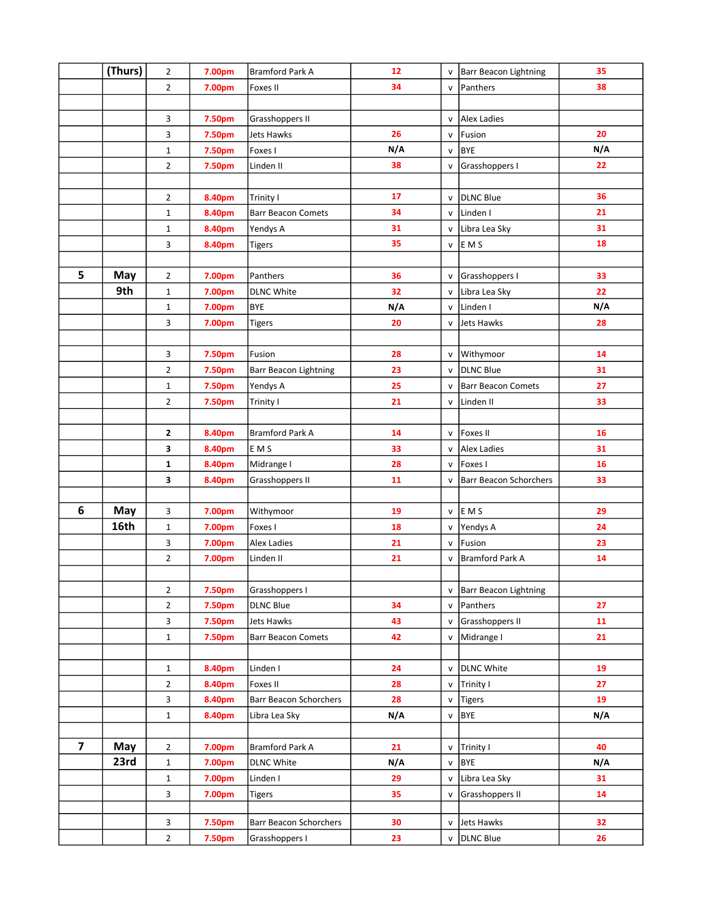|                         | (Thurs) | $\overline{2}$ | 7.00pm | <b>Bramford Park A</b>        | 12  | v            | <b>Barr Beacon Lightning</b>  | 35  |
|-------------------------|---------|----------------|--------|-------------------------------|-----|--------------|-------------------------------|-----|
|                         |         | $\overline{2}$ | 7.00pm | Foxes II                      | 34  | V            | Panthers                      | 38  |
|                         |         |                |        |                               |     |              |                               |     |
|                         |         | 3              | 7.50pm | Grasshoppers II               |     | v            | Alex Ladies                   |     |
|                         |         | 3              | 7.50pm | Jets Hawks                    | 26  | $\mathsf{v}$ | Fusion                        | 20  |
|                         |         | $\mathbf 1$    | 7.50pm | Foxes I                       | N/A | v            | <b>BYE</b>                    | N/A |
|                         |         | $\overline{2}$ | 7.50pm | Linden II                     | 38  | v            | Grasshoppers I                | 22  |
|                         |         |                |        |                               |     |              |                               |     |
|                         |         | $\overline{2}$ | 8.40pm | Trinity I                     | 17  | $\mathsf{v}$ | <b>DLNC Blue</b>              | 36  |
|                         |         | $\mathbf 1$    | 8.40pm | <b>Barr Beacon Comets</b>     | 34  | v            | Linden <sub>I</sub>           | 21  |
|                         |         | $\mathbf 1$    | 8.40pm | Yendys A                      | 31  | v            | Libra Lea Sky                 | 31  |
|                         |         | 3              | 8.40pm | <b>Tigers</b>                 | 35  | V            | E M S                         | 18  |
|                         |         |                |        |                               |     |              |                               |     |
| 5                       | May     | $\overline{2}$ | 7.00pm | Panthers                      | 36  | v            | Grasshoppers I                | 33  |
|                         | 9th     | $\mathbf{1}$   | 7.00pm | <b>DLNC White</b>             | 32  | v            | Libra Lea Sky                 | 22  |
|                         |         | $\mathbf{1}$   | 7.00pm | <b>BYE</b>                    | N/A | v            | Linden I                      | N/A |
|                         |         | 3              | 7.00pm | <b>Tigers</b>                 | 20  | V            | Jets Hawks                    | 28  |
|                         |         |                |        |                               |     |              |                               |     |
|                         |         | 3              | 7.50pm | Fusion                        | 28  | V            | Withymoor                     | 14  |
|                         |         | $\overline{2}$ | 7.50pm | <b>Barr Beacon Lightning</b>  | 23  | v            | <b>DLNC Blue</b>              | 31  |
|                         |         | $\mathbf{1}$   | 7.50pm | Yendys A                      | 25  | $\mathsf{v}$ | <b>Barr Beacon Comets</b>     | 27  |
|                         |         | $\overline{2}$ | 7.50pm | Trinity I                     | 21  | V            | Linden <sub>II</sub>          | 33  |
|                         |         |                |        |                               |     |              |                               |     |
|                         |         | 2              | 8.40pm | <b>Bramford Park A</b>        | 14  | v            | <b>Foxes II</b>               | 16  |
|                         |         | 3              | 8.40pm | <b>EMS</b>                    | 33  | v            | Alex Ladies                   | 31  |
|                         |         | 1              | 8.40pm | Midrange I                    | 28  | V            | Foxes I                       | 16  |
|                         |         | 3              | 8.40pm | Grasshoppers II               | 11  | v            | <b>Barr Beacon Schorchers</b> | 33  |
|                         |         |                |        |                               |     |              |                               |     |
| 6                       | May     | 3              | 7.00pm | Withymoor                     | 19  | v            | E M S                         | 29  |
|                         | 16th    | $\mathbf 1$    | 7.00pm | Foxes I                       | 18  | v            | Yendys A                      | 24  |
|                         |         | 3              | 7.00pm | <b>Alex Ladies</b>            | 21  | v            | Fusion                        | 23  |
|                         |         | $\overline{2}$ | 7.00pm | Linden II                     | 21  | $\mathsf{v}$ | <b>Bramford Park A</b>        | 14  |
|                         |         |                |        |                               |     |              |                               |     |
|                         |         | $\overline{2}$ | 7.50pm | Grasshoppers I                |     | v            | <b>Barr Beacon Lightning</b>  |     |
|                         |         | $\mathbf{2}$   | 7.50pm | <b>DLNC Blue</b>              | 34  | v            | Panthers                      | 27  |
|                         |         | 3              | 7.50pm | Jets Hawks                    | 43  | v            | Grasshoppers II               | 11  |
|                         |         | $\mathbf{1}$   | 7.50pm | <b>Barr Beacon Comets</b>     | 42  |              | v   Midrange I                | 21  |
|                         |         |                |        |                               |     |              |                               |     |
|                         |         | $\mathbf{1}$   | 8.40pm | Linden I                      | 24  | v            | <b>DLNC White</b>             | 19  |
|                         |         | $\mathbf{2}$   | 8.40pm | Foxes II                      | 28  | v            | Trinity I                     | 27  |
|                         |         | 3              | 8.40pm | <b>Barr Beacon Schorchers</b> | 28  | V            | Tigers                        | 19  |
|                         |         | $\mathbf 1$    | 8.40pm | Libra Lea Sky                 | N/A | v            | <b>BYE</b>                    | N/A |
|                         |         |                |        |                               |     |              |                               |     |
| $\overline{\mathbf{z}}$ | May     | $\overline{2}$ | 7.00pm | Bramford Park A               | 21  | v            | Trinity I                     | 40  |
|                         | 23rd    | $\mathbf{1}$   | 7.00pm | <b>DLNC White</b>             | N/A | $\mathsf{v}$ | <b>BYE</b>                    | N/A |
|                         |         | 1              | 7.00pm | Linden I                      | 29  | v            | Libra Lea Sky                 | 31  |
|                         |         | 3              | 7.00pm | <b>Tigers</b>                 | 35  | V            | Grasshoppers II               | 14  |
|                         |         | 3              | 7.50pm | <b>Barr Beacon Schorchers</b> | 30  | $\mathsf{v}$ | Jets Hawks                    | 32  |
|                         |         | $\overline{2}$ | 7.50pm | Grasshoppers I                | 23  | v            | <b>DLNC Blue</b>              | 26  |
|                         |         |                |        |                               |     |              |                               |     |